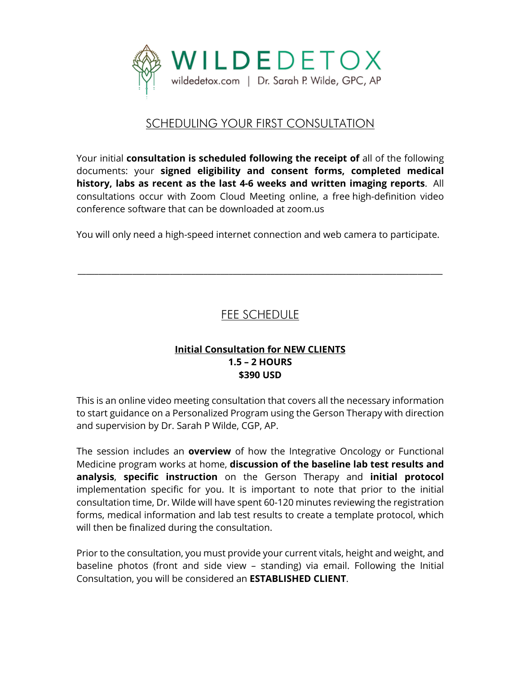

## SCHEDULING YOUR FIRST CONSULTATION

Your initial **consultation is scheduled following the receipt of** all of the following documents: your **signed eligibility and consent forms, completed medical history, labs as recent as the last 4-6 weeks and written imaging reports**. All consultations occur with Zoom Cloud Meeting online, a free high-definition video conference software that can be downloaded at zoom.us

You will only need a high-speed internet connection and web camera to participate.

\_\_\_\_\_\_\_\_\_\_\_\_\_\_\_\_\_\_\_\_\_\_\_\_\_\_\_\_\_\_\_\_\_\_\_\_\_\_\_\_\_\_\_\_\_\_\_\_\_\_\_\_\_\_\_\_\_\_\_\_\_\_\_\_\_\_\_\_\_\_\_\_\_\_\_\_\_\_\_\_\_\_\_\_\_\_\_

# FEE SCHEDULE

#### **Initial Consultation for NEW CLIENTS 1.5 – 2 HOURS \$390 USD**

This is an online video meeting consultation that covers all the necessary information to start guidance on a Personalized Program using the Gerson Therapy with direction and supervision by Dr. Sarah P Wilde, CGP, AP.

The session includes an **overview** of how the Integrative Oncology or Functional Medicine program works at home, **discussion of the baseline lab test results and analysis**, **specific instruction** on the Gerson Therapy and **initial protocol**  implementation specific for you. It is important to note that prior to the initial consultation time, Dr. Wilde will have spent 60-120 minutes reviewing the registration forms, medical information and lab test results to create a template protocol, which will then be finalized during the consultation.

Prior to the consultation, you must provide your current vitals, height and weight, and baseline photos (front and side view – standing) via email. Following the Initial Consultation, you will be considered an **ESTABLISHED CLIENT**.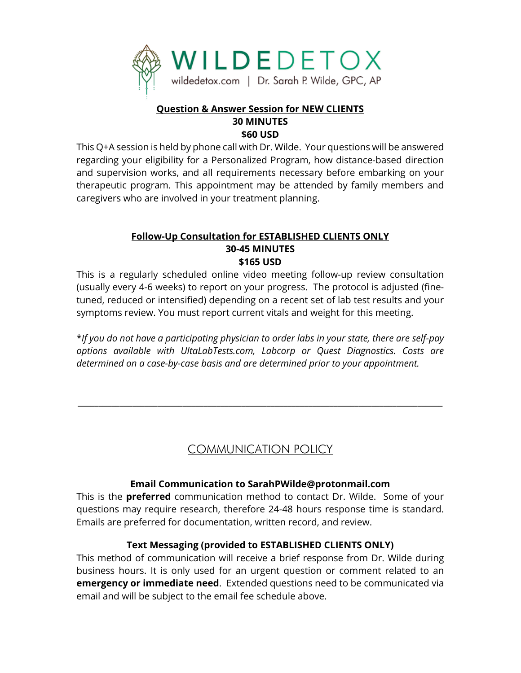

#### **Question & Answer Session for NEW CLIENTS 30 MINUTES \$60 USD**

This Q+A session is held by phone call with Dr. Wilde. Your questions will be answered regarding your eligibility for a Personalized Program, how distance-based direction and supervision works, and all requirements necessary before embarking on your therapeutic program. This appointment may be attended by family members and caregivers who are involved in your treatment planning.

### **Follow-Up Consultation for ESTABLISHED CLIENTS ONLY 30-45 MINUTES \$165 USD**

This is a regularly scheduled online video meeting follow-up review consultation (usually every 4-6 weeks) to report on your progress. The protocol is adjusted (finetuned, reduced or intensified) depending on a recent set of lab test results and your symptoms review. You must report current vitals and weight for this meeting.

\**If you do not have a participating physician to order labs in your state, there are self-pay options available with UltaLabTests.com, Labcorp or Quest Diagnostics. Costs are determined on a case-by-case basis and are determined prior to your appointment.*

# COMMUNICATION POLICY

\_\_\_\_\_\_\_\_\_\_\_\_\_\_\_\_\_\_\_\_\_\_\_\_\_\_\_\_\_\_\_\_\_\_\_\_\_\_\_\_\_\_\_\_\_\_\_\_\_\_\_\_\_\_\_\_\_\_\_\_\_\_\_\_\_\_\_\_\_\_\_\_\_\_\_\_\_\_\_\_\_\_\_\_\_\_\_

### **Email Communication to SarahPWilde@protonmail.com**

This is the **preferred** communication method to contact Dr. Wilde. Some of your questions may require research, therefore 24-48 hours response time is standard. Emails are preferred for documentation, written record, and review.

### **Text Messaging (provided to ESTABLISHED CLIENTS ONLY)**

This method of communication will receive a brief response from Dr. Wilde during business hours. It is only used for an urgent question or comment related to an **emergency or immediate need**. Extended questions need to be communicated via email and will be subject to the email fee schedule above.